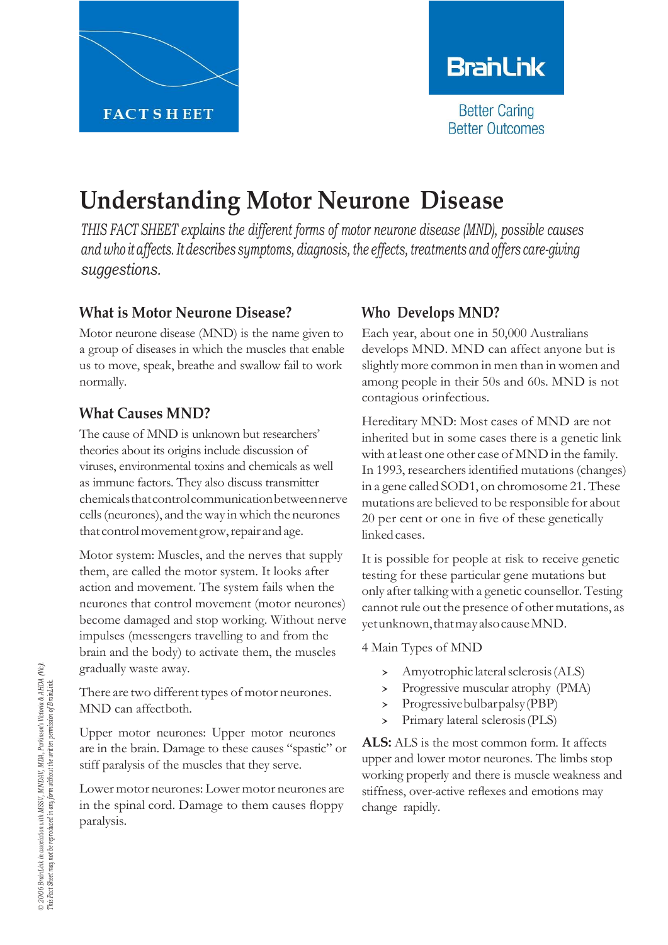

# **BranLink**

**Better Caring Better Outcomes** 

# **Understanding Motor Neurone Disease**

*THIS FACT SHEET explains the different forms of motor neurone disease (MND), possible causes and who it affects. Itdescribes symptoms, diagnosis, the effects, treatments and offers care-giving suggestions.*

## **What is Motor Neurone Disease?**

Motor neurone disease (MND) is the name given to a group of diseases in which the muscles that enable us to move, speak, breathe and swallow fail to work normally.

# **What Causes MND?**

The cause of MND is unknown but researchers' theories about its origins include discussion of viruses, environmental toxins and chemicals as well as immune factors. They also discuss transmitter chemicalsthatcontrolcommunicationbetweennerve cells(neurones), and theway inwhich the neurones that control movement grow, repair and age.

Motor system: Muscles, and the nerves that supply them, are called the motor system. It looks after action and movement. The system fails when the neurones that control movement (motor neurones) become damaged and stop working. Without nerve impulses (messengers travelling to and from the brain and the body) to activate them, the muscles gradually waste away.

There are two different types of motor neurones. MND can affectboth.

Upper motor neurones: Upper motor neurones are in the brain. Damage to these causes "spastic" or stiff paralysis of the muscles that they serve.

Lower motor neurones: Lower motor neurones are in the spinal cord. Damage to them causes floppy paralysis.

# **Who Develops MND?**

Each year, about one in 50,000 Australians develops MND. MND can affect anyone but is slightly more common in men than in women and among people in their 50s and 60s. MND is not contagious orinfectious.

Hereditary MND: Most cases of MND are not inherited but in some cases there is a genetic link with at least one other case of MND in the family. In 1993, researchersidentified mutations(changes) in a gene called SOD1, on chromosome 21. These mutations are believed to be responsible for about 20 per cent or one in five of these genetically linkedcases.

It is possible for people at risk to receive genetic testing for these particular gene mutations but only after talking with a genetic counsellor. Testing cannot rule out the presence of other mutations, as yetunknown, that may also cause MND.

4 Main Types of MND

- › Amyotrophic lateralsclerosis(ALS)
- > Progressive muscular atrophy (PMA)<br>> Progressive bulbar palsy (PBP)
- Progressivebulbarpalsy(PBP)
- › Primary lateral sclerosis(PLS)

**ALS:** ALS is the most common form. It affects upper and lower motor neurones. The limbs stop working properly and there is muscle weakness and stiffness, over-active reflexes and emotions may change rapidly.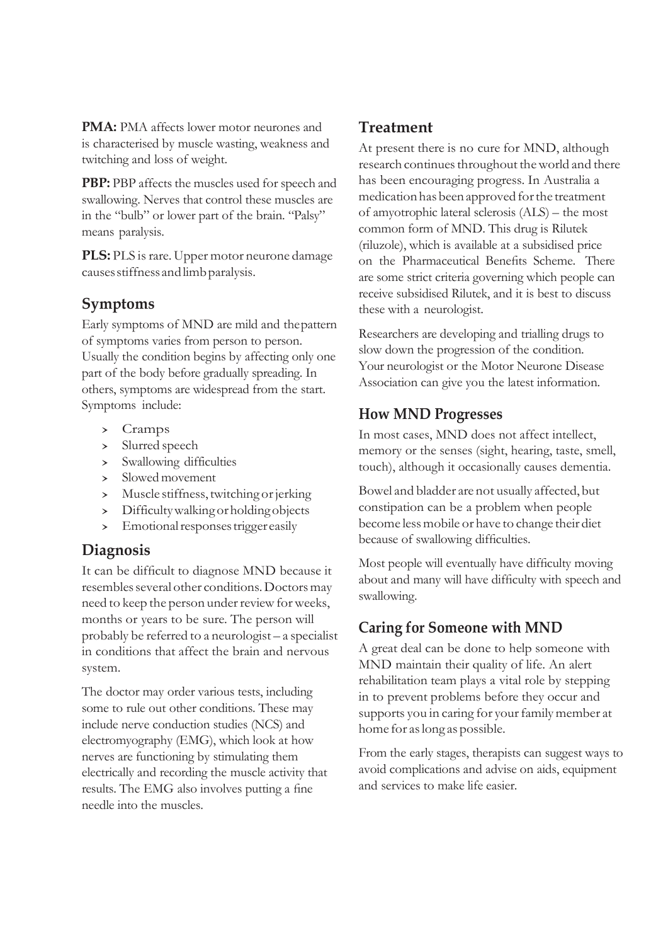**PMA:** PMA affects lower motor neurones and is characterised by muscle wasting, weakness and twitching and loss of weight.

**PBP:** PBP affects the muscles used for speech and swallowing. Nerves that control these muscles are in the "bulb" or lower part of the brain. "Palsy" means paralysis.

**PLS:** PLS is rare. Upper motor neurone damage causesstiffnessandlimbparalysis.

## **Symptoms**

Early symptoms of MND are mild and thepattern of symptoms varies from person to person. Usually the condition begins by affecting only one part of the body before gradually spreading. In others, symptoms are widespread from the start. Symptoms include:

- > Cramps<br>> Slurred sp
- > Slurred speech<br>> Swallowing dif
- Swallowing difficulties
- › Slowed movement
- > Muscle stiffness, twitching or jerking<br>> Difficulty walking or holding objects
- > Difficulty walking or holding objects
- Emotional responses trigger easily

#### **Diagnosis**

It can be difficult to diagnose MND because it resembles several other conditions. Doctors may need to keep the person under review for weeks, months or years to be sure. The person will probably be referred to a neurologist – a specialist in conditions that affect the brain and nervous system.

The doctor may order various tests, including some to rule out other conditions. These may include nerve conduction studies (NCS) and electromyography (EMG), which look at how nerves are functioning by stimulating them electrically and recording the muscle activity that results. The EMG also involves putting a fine needle into the muscles.

## **Treatment**

At present there is no cure for MND, although research continues throughout the world and there has been encouraging progress. In Australia a medicationhasbeenapproved forthe treatment of amyotrophic lateral sclerosis (ALS) – the most common form of MND. This drug is Rilutek (riluzole), which is available at a subsidised price on the Pharmaceutical Benefits Scheme. There are some strict criteria governing which people can receive subsidised Rilutek, and it is best to discuss these with a neurologist.

Researchers are developing and trialling drugs to slow down the progression of the condition. Your neurologist or the Motor Neurone Disease Association can give you the latest information.

#### **How MND Progresses**

In most cases, MND does not affect intellect, memory or the senses (sight, hearing, taste, smell, touch), although it occasionally causes dementia.

Bowel and bladder are not usually affected, but constipation can be a problem when people become lessmobile or have to change their diet because of swallowing difficulties.

Most people will eventually have difficulty moving about and many will have difficulty with speech and swallowing.

## **Caring for Someone with MND**

A great deal can be done to help someone with MND maintain their quality of life. An alert rehabilitation team plays a vital role by stepping in to prevent problems before they occur and supports you in caring for your family member at home for aslong as possible.

From the early stages, therapists can suggest ways to avoid complications and advise on aids, equipment and services to make life easier.